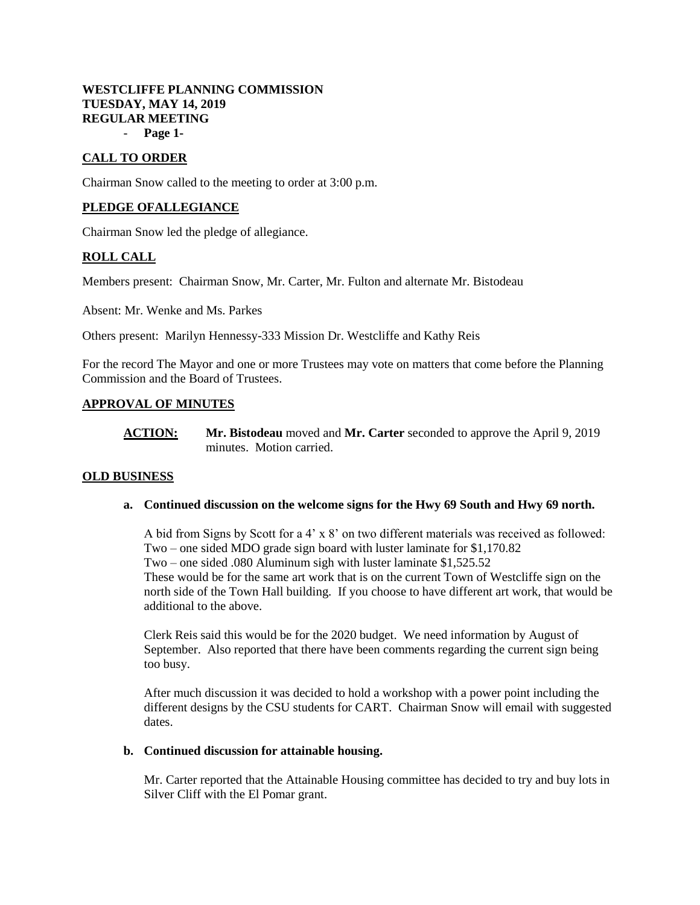# **WESTCLIFFE PLANNING COMMISSION TUESDAY, MAY 14, 2019 REGULAR MEETING**

- **Page 1-**

# **CALL TO ORDER**

Chairman Snow called to the meeting to order at 3:00 p.m.

## **PLEDGE OFALLEGIANCE**

Chairman Snow led the pledge of allegiance.

# **ROLL CALL**

Members present: Chairman Snow, Mr. Carter, Mr. Fulton and alternate Mr. Bistodeau

Absent: Mr. Wenke and Ms. Parkes

Others present: Marilyn Hennessy-333 Mission Dr. Westcliffe and Kathy Reis

For the record The Mayor and one or more Trustees may vote on matters that come before the Planning Commission and the Board of Trustees.

### **APPROVAL OF MINUTES**

**ACTION: Mr. Bistodeau** moved and **Mr. Carter** seconded to approve the April 9, 2019 minutes. Motion carried.

## **OLD BUSINESS**

#### **a. Continued discussion on the welcome signs for the Hwy 69 South and Hwy 69 north.**

A bid from Signs by Scott for a 4' x 8' on two different materials was received as followed: Two – one sided MDO grade sign board with luster laminate for \$1,170.82 Two – one sided .080 Aluminum sigh with luster laminate \$1,525.52 These would be for the same art work that is on the current Town of Westcliffe sign on the north side of the Town Hall building. If you choose to have different art work, that would be additional to the above.

Clerk Reis said this would be for the 2020 budget. We need information by August of September. Also reported that there have been comments regarding the current sign being too busy.

After much discussion it was decided to hold a workshop with a power point including the different designs by the CSU students for CART. Chairman Snow will email with suggested dates.

#### **b. Continued discussion for attainable housing.**

Mr. Carter reported that the Attainable Housing committee has decided to try and buy lots in Silver Cliff with the El Pomar grant.